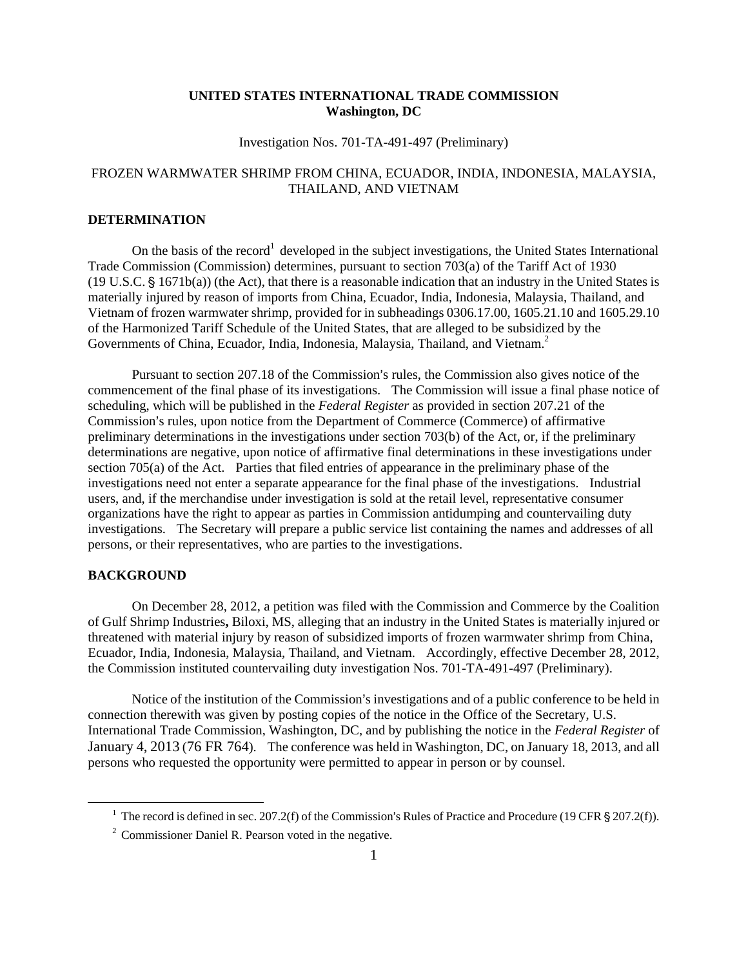## **UNITED STATES INTERNATIONAL TRADE COMMISSION Washington, DC**

### Investigation Nos. 701-TA-491-497 (Preliminary)

# FROZEN WARMWATER SHRIMP FROM CHINA, ECUADOR, INDIA, INDONESIA, MALAYSIA, THAILAND, AND VIETNAM

### **DETERMINATION**

On the basis of the record<sup>1</sup> developed in the subject investigations, the United States International Trade Commission (Commission) determines, pursuant to section 703(a) of the Tariff Act of 1930  $(19 \text{ U.S.C.} \S 1671b(a))$  (the Act), that there is a reasonable indication that an industry in the United States is materially injured by reason of imports from China, Ecuador, India, Indonesia, Malaysia, Thailand, and Vietnam of frozen warmwater shrimp, provided for in subheadings 0306.17.00, 1605.21.10 and 1605.29.10 of the Harmonized Tariff Schedule of the United States, that are alleged to be subsidized by the Governments of China, Ecuador, India, Indonesia, Malaysia, Thailand, and Vietnam.<sup>2</sup>

Pursuant to section 207.18 of the Commission's rules, the Commission also gives notice of the commencement of the final phase of its investigations. The Commission will issue a final phase notice of scheduling, which will be published in the *Federal Register* as provided in section 207.21 of the Commission's rules, upon notice from the Department of Commerce (Commerce) of affirmative preliminary determinations in the investigations under section 703(b) of the Act, or, if the preliminary determinations are negative, upon notice of affirmative final determinations in these investigations under section 705(a) of the Act. Parties that filed entries of appearance in the preliminary phase of the investigations need not enter a separate appearance for the final phase of the investigations. Industrial users, and, if the merchandise under investigation is sold at the retail level, representative consumer organizations have the right to appear as parties in Commission antidumping and countervailing duty investigations. The Secretary will prepare a public service list containing the names and addresses of all persons, or their representatives, who are parties to the investigations.

### **BACKGROUND**

 $\overline{a}$ 

On December 28, 2012, a petition was filed with the Commission and Commerce by the Coalition of Gulf Shrimp Industries**,** Biloxi, MS, alleging that an industry in the United States is materially injured or threatened with material injury by reason of subsidized imports of frozen warmwater shrimp from China, Ecuador, India, Indonesia, Malaysia, Thailand, and Vietnam. Accordingly, effective December 28, 2012, the Commission instituted countervailing duty investigation Nos. 701-TA-491-497 (Preliminary).

Notice of the institution of the Commission's investigations and of a public conference to be held in connection therewith was given by posting copies of the notice in the Office of the Secretary, U.S. International Trade Commission, Washington, DC, and by publishing the notice in the *Federal Register* of January 4, 2013 (76 FR 764). The conference was held in Washington, DC, on January 18, 2013, and all persons who requested the opportunity were permitted to appear in person or by counsel.

<sup>&</sup>lt;sup>1</sup> The record is defined in sec. 207.2(f) of the Commission's Rules of Practice and Procedure (19 CFR  $\S 207.2(f)$ ).

<sup>&</sup>lt;sup>2</sup> Commissioner Daniel R. Pearson voted in the negative.